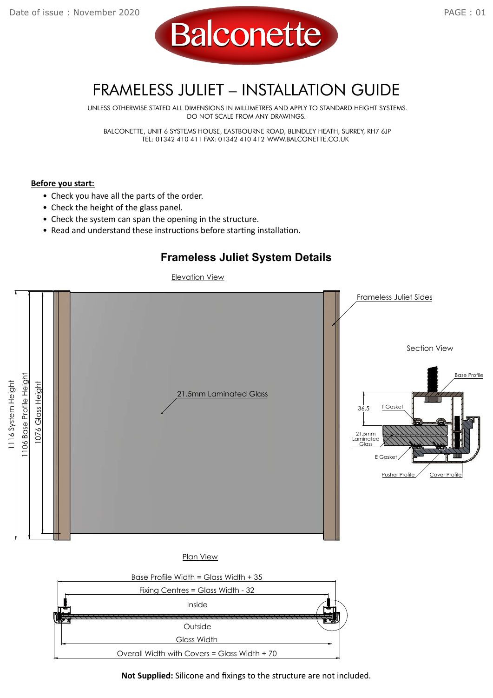

## FRAMELESS JULIET – INSTALLATION GUIDE

 UNLESS OTHERWISE STATED ALL DIMENSIONS IN MILLIMETRES AND APPLY TO STANDARD HEIGHT SYSTEMS. DO NOT SCALE FROM ANY DRAWINGS.

BALCONETTE, UNIT 6 SYSTEMS HOUSE, EASTBOURNE ROAD, BLINDLEY HEATH, SURREY, RH7 6JP TEL: 01342 410 411 FAX: 01342 410 412 WWW.BALCONETTE.CO.UK

## **Before you start:**

- Check you have all the parts of the order.
- Check the height of the glass panel.
- Check the system can span the opening in the structure.
- Read and understand these instructions before starting installation.

## **Frameless Juliet System Details**

Elevation View

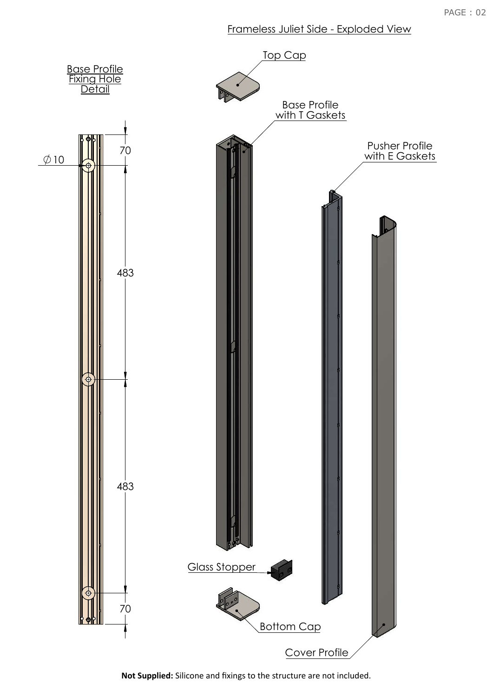Frameless Juliet Side - Exploded View



**Not Supplied:** Silicone and fixings to the structure are not included.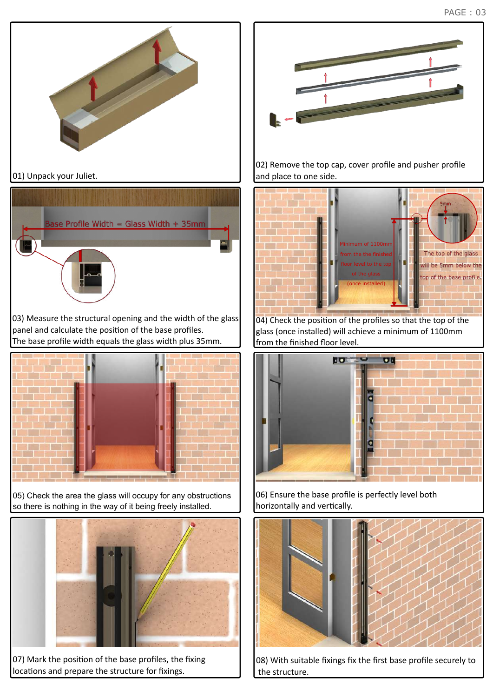

01) Unpack your Juliet.



03) Measure the structural opening and the width of the glass panel and calculate the position of the base profiles. The base profile width equals the glass width plus 35mm.



05) Check the area the glass will occupy for any obstructions so there is nothing in the way of it being freely installed.



07) Mark the position of the base profiles, the fixing locations and prepare the structure for fixings.



02) Remove the top cap, cover profile and pusher profile and place to one side.



04) Check the position of the profiles so that the top of the glass (once installed) will achieve a minimum of 1100mm from the finished floor level.



06) Ensure the base profile is perfectly level both horizontally and vertically.



08) With suitable fixings fix the first base profile securely to the structure.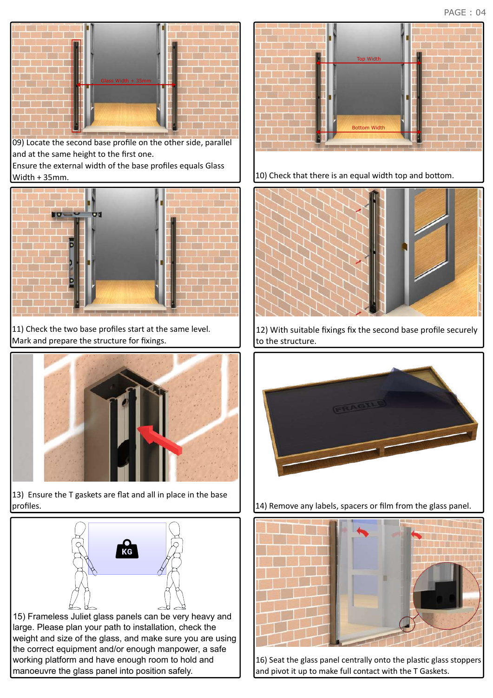

09) Locate the second base profile on the other side, parallel and at the same height to the first one.

Ensure the external width of the base profiles equals Glass Width + 35mm.



11) Check the two base profiles start at the same level. Mark and prepare the structure for fixings.



13) Ensure the T gaskets are flat and all in place in the base profiles.



15) Frameless Juliet glass panels can be very heavy and large. Please plan your path to installation, check the weight and size of the glass, and make sure you are using the correct equipment and/or enough manpower, a safe working platform and have enough room to hold and manoeuvre the glass panel into position safely.



 $\vert$ 10) Check that there is an equal width top and bottom.



12) With suitable fixings fix the second base profile securely to the structure.



14) Remove any labels, spacers or film from the glass panel.



16) Seat the glass panel centrally onto the plastic glass stoppers and pivot it up to make full contact with the T Gaskets.